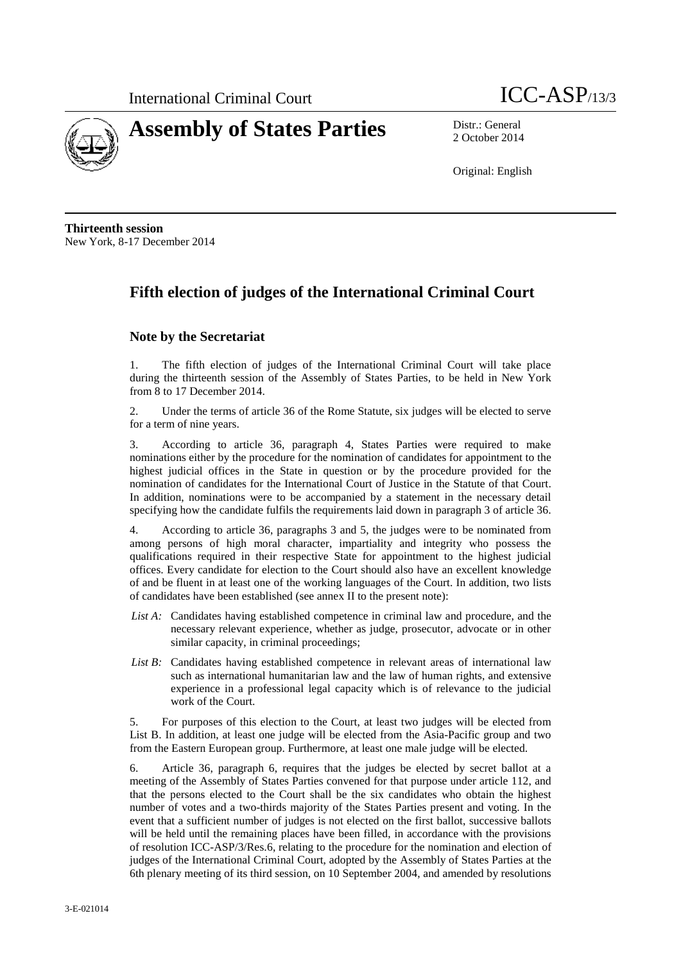



2 October 2014

Original: English

**Thirteenth session** New York, 8-17 December 2014

# **Fifth election of judges of the International Criminal Court**

### **Note by the Secretariat**

1. The fifth election of judges of the International Criminal Court will take place during the thirteenth session of the Assembly of States Parties, to be held in New York from 8 to 17 December 2014.

2. Under the terms of article 36 of the Rome Statute, six judges will be elected to serve for a term of nine years.

3. According to article 36, paragraph 4, States Parties were required to make nominations either by the procedure for the nomination of candidates for appointment to the highest judicial offices in the State in question or by the procedure provided for the nomination of candidates for the International Court of Justice in the Statute of that Court. In addition, nominations were to be accompanied by a statement in the necessary detail specifying how the candidate fulfils the requirements laid down in paragraph 3 of article 36.

4. According to article 36, paragraphs 3 and 5, the judges were to be nominated from among persons of high moral character, impartiality and integrity who possess the qualifications required in their respective State for appointment to the highest judicial offices. Every candidate for election to the Court should also have an excellent knowledge of and be fluent in at least one of the working languages of the Court. In addition, two lists of candidates have been established (see annex II to the present note):

- *List A:* Candidates having established competence in criminal law and procedure, and the necessary relevant experience, whether as judge, prosecutor, advocate or in other similar capacity, in criminal proceedings;
- *List B:* Candidates having established competence in relevant areas of international law such as international humanitarian law and the law of human rights, and extensive experience in a professional legal capacity which is of relevance to the judicial work of the Court.

5. For purposes of this election to the Court, at least two judges will be elected from List B. In addition, at least one judge will be elected from the Asia-Pacific group and two from the Eastern European group. Furthermore, at least one male judge will be elected.

6. Article 36, paragraph 6, requires that the judges be elected by secret ballot at a meeting of the Assembly of States Parties convened for that purpose under article 112, and that the persons elected to the Court shall be the six candidates who obtain the highest number of votes and a two-thirds majority of the States Parties present and voting. In the event that a sufficient number of judges is not elected on the first ballot, successive ballots will be held until the remaining places have been filled, in accordance with the provisions of resolution ICC-ASP/3/Res.6, relating to the procedure for the nomination and election of judges of the International Criminal Court, adopted by the Assembly of States Parties at the 6th plenary meeting of its third session, on 10 September 2004, and amended by resolutions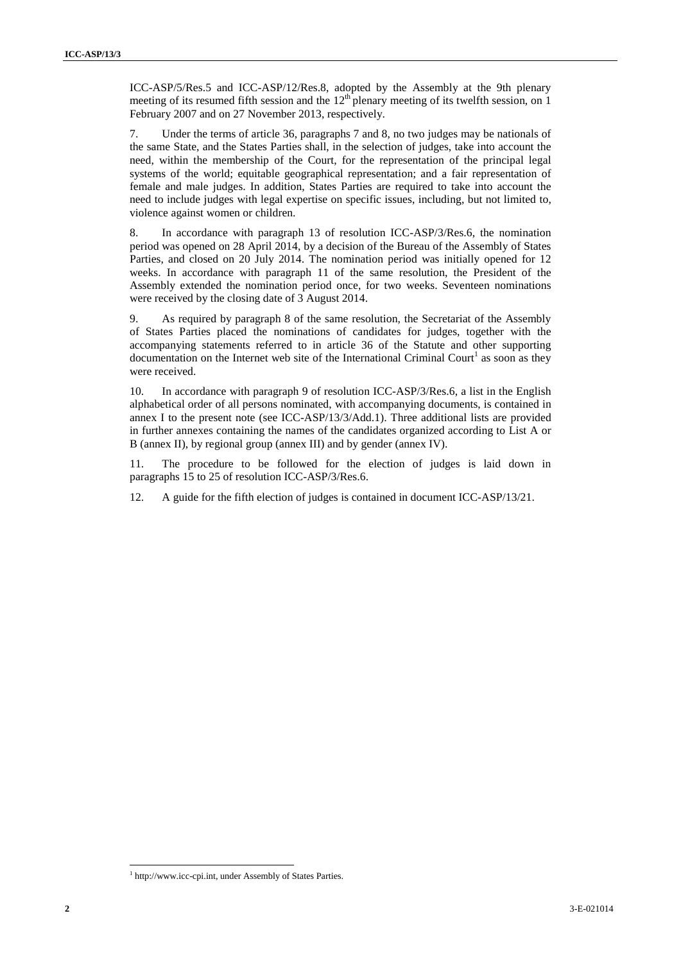ICC-ASP/5/Res.5 and ICC-ASP/12/Res.8, adopted by the Assembly at the 9th plenary meeting of its resumed fifth session and the  $12<sup>th</sup>$  plenary meeting of its twelfth session, on 1 February 2007 and on 27 November 2013, respectively.

7. Under the terms of article 36, paragraphs 7 and 8, no two judges may be nationals of the same State, and the States Parties shall, in the selection of judges, take into account the need, within the membership of the Court, for the representation of the principal legal systems of the world; equitable geographical representation; and a fair representation of female and male judges. In addition, States Parties are required to take into account the need to include judges with legal expertise on specific issues, including, but not limited to, violence against women or children.

8. In accordance with paragraph 13 of resolution ICC-ASP/3/Res.6, the nomination period was opened on 28 April 2014, by a decision of the Bureau of the Assembly of States Parties, and closed on 20 July 2014. The nomination period was initially opened for 12 weeks. In accordance with paragraph 11 of the same resolution, the President of the Assembly extended the nomination period once, for two weeks. Seventeen nominations were received by the closing date of 3 August 2014.

9. As required by paragraph 8 of the same resolution, the Secretariat of the Assembly of States Parties placed the nominations of candidates for judges, together with the accompanying statements referred to in article 36 of the Statute and other supporting documentation on the Internet web site of the International Criminal Court<sup>1</sup> as soon as they were received.

10. In accordance with paragraph 9 of resolution ICC-ASP/3/Res.6, a list in the English alphabetical order of all persons nominated, with accompanying documents, is contained in annex I to the present note (see ICC-ASP/13/3/Add.1). Three additional lists are provided in further annexes containing the names of the candidates organized according to List A or B (annex II), by regional group (annex III) and by gender (annex IV).

11. The procedure to be followed for the election of judges is laid down in paragraphs 15 to 25 of resolution ICC-ASP/3/Res.6.

12. A guide for the fifth election of judges is contained in document ICC-ASP/13/21.

<sup>&</sup>lt;sup>1</sup> http://www.icc-cpi.int, under Assembly of States Parties.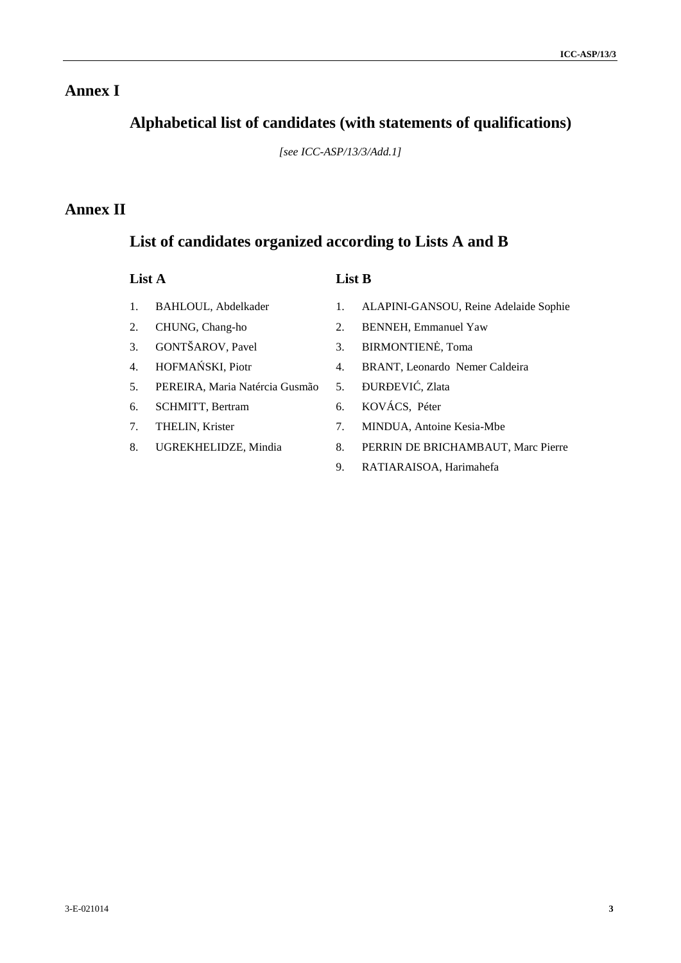# **Annex I**

# **Alphabetical list of candidates (with statements of qualifications)**

*[see ICC-ASP/13/3/Add.1]*

# **Annex II**

## **List of candidates organized according to Lists A and B**

## **List A List B**

- 1. BAHLOUL, Abdelkader
- 2. CHUNG, Chang-ho
- 3. GONTŠAROV, Pavel
- 4. HOFMA SKI, Piotr
- 5. PEREIRA, Maria Natércia Gusmão
- 6. SCHMITT, Bertram
- 7. THELIN, Krister
- 8. UGREKHELIDZE, Mindia
- 1. ALAPINI-GANSOU, Reine Adelaide Sophie
- 2. BENNEH, Emmanuel Yaw
- 3. BIRMONTIEN . Toma
- 4. BRANT, Leonardo Nemer Caldeira
	- UR EVI, Zlata
- 6. KOVÁCS, Péter
- 7. MINDUA, Antoine Kesia-Mbe
- 8. PERRIN DE BRICHAMBAUT, Marc Pierre
- 9. RATIARAISOA, Harimahefa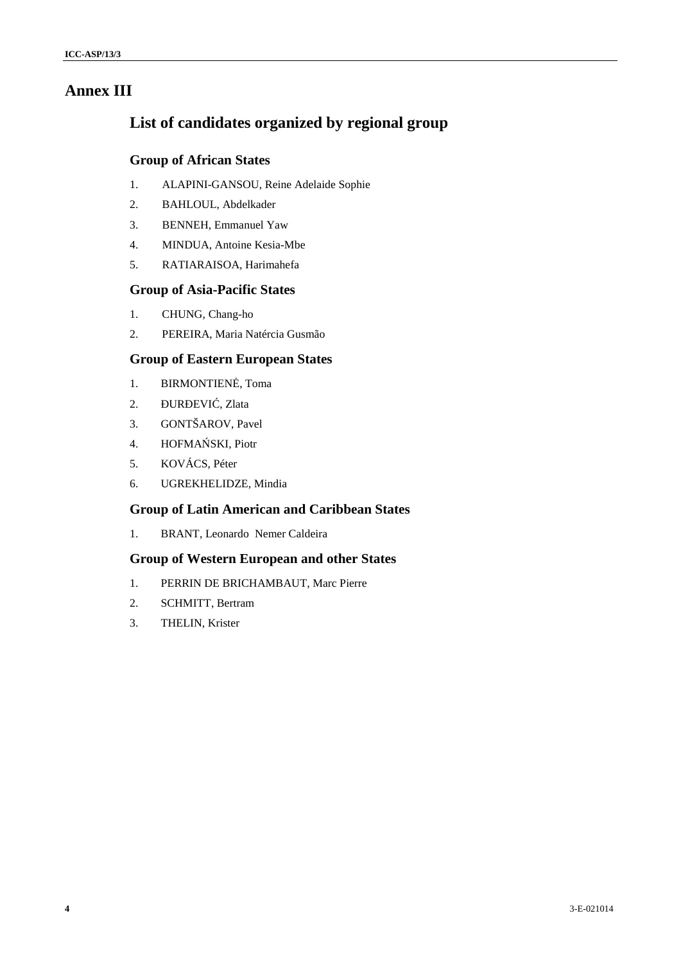## **Annex III**

# **List of candidates organized by regional group**

### **Group of African States**

- 1. ALAPINI-GANSOU, Reine Adelaide Sophie
- 2. BAHLOUL, Abdelkader
- 3. BENNEH, Emmanuel Yaw
- 4. MINDUA, Antoine Kesia-Mbe
- 5. RATIARAISOA, Harimahefa

### **Group of Asia-Pacific States**

- 1. CHUNG, Chang-ho
- 2. PEREIRA, Maria Natércia Gusmão

## **Group of Eastern European States**

- 1. BIRMONTIEN, Toma
- 2. UR EVI, Zlata
- 3. GONTŠAROV, Pavel
- 4. HOFMA SKI, Piotr
- 5. KOVÁCS, Péter
- 6. UGREKHELIDZE, Mindia

## **Group of Latin American and Caribbean States**

1. BRANT, Leonardo Nemer Caldeira

#### **Group of Western European and other States**

- 1. PERRIN DE BRICHAMBAUT, Marc Pierre
- 2. SCHMITT, Bertram
- 3. THELIN, Krister